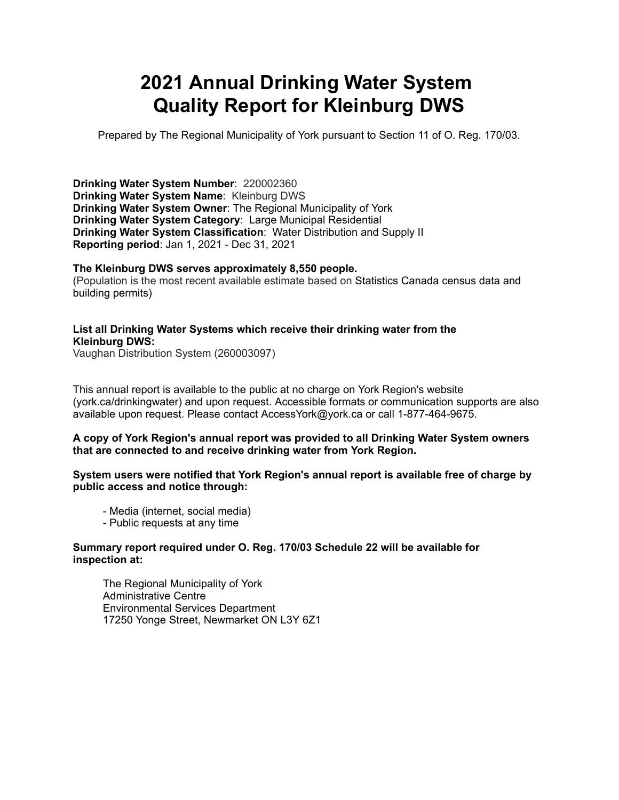# **2021 Annual Drinking Water System Quality Report for Kleinburg DWS**

Prepared by The Regional Municipality of York pursuant to Section 11 of O. Reg. 170/03.

**Drinking Water System Number**: 220002360 **Drinking Water System Name**: Kleinburg DWS **Drinking Water System Owner**: The Regional Municipality of York **Drinking Water System Category**: Large Municipal Residential **Drinking Water System Classification**: Water Distribution and Supply II **Reporting period**: Jan 1, 2021 - Dec 31, 2021

#### **The Kleinburg DWS serves approximately 8,550 people.**

(Population is the most recent available estimate based on Statistics Canada census data and building permits)

#### **List all Drinking Water Systems which receive their drinking water from the Kleinburg DWS:**

Vaughan Distribution System (260003097)

This annual report is available to the public at no charge on York Region's website (york.ca/drinkingwater) and upon request. Accessible formats or communication supports are also available upon request. Please contact [AccessYork@york.ca](mailto:AccessYork@york.ca) or call 1-877-464-9675.

#### **A copy of York Region's annual report was provided to all Drinking Water System owners that are connected to and receive drinking water from York Region.**

#### **System users were notified that York Region's annual report is available free of charge by public access and notice through:**

- Media (internet, social media)
- Public requests at any time

#### **Summary report required under O. Reg. 170/03 Schedule 22 will be available for inspection at:**

 The Regional Municipality of York Administrative Centre Environmental Services Department 17250 Yonge Street, Newmarket ON L3Y 6Z1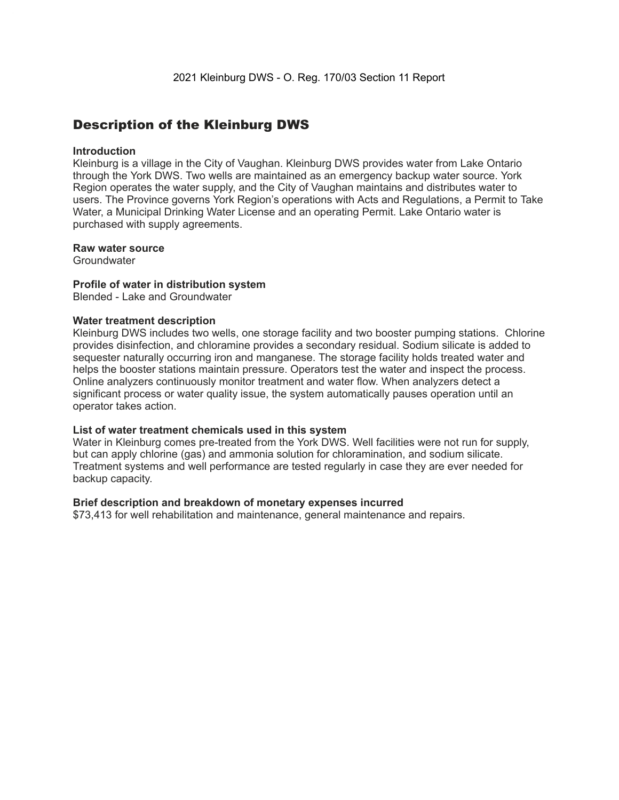### Description of the Kleinburg DWS

#### **Introduction**

 Kleinburg is a village in the City of Vaughan. Kleinburg DWS provides water from Lake Ontario through the York DWS. Two wells are maintained as an emergency backup water source. York Region operates the water supply, and the City of Vaughan maintains and distributes water to users. The Province governs York Region's operations with Acts and Regulations, a Permit to Take Water, a Municipal Drinking Water License and an operating Permit. Lake Ontario water is purchased with supply agreements.

#### **Raw water source**

**Groundwater** 

#### **Profile of water in distribution system**

Blended - Lake and Groundwater

#### **Water treatment description**

 Kleinburg DWS includes two wells, one storage facility and two booster pumping stations. Chlorine provides disinfection, and chloramine provides a secondary residual. Sodium silicate is added to sequester naturally occurring iron and manganese. The storage facility holds treated water and helps the booster stations maintain pressure. Operators test the water and inspect the process. Online analyzers continuously monitor treatment and water flow. When analyzers detect a significant process or water quality issue, the system automatically pauses operation until an operator takes action.

#### **List of water treatment chemicals used in this system**

 Water in Kleinburg comes pre-treated from the York DWS. Well facilities were not run for supply, but can apply chlorine (gas) and ammonia solution for chloramination, and sodium silicate. Treatment systems and well performance are tested regularly in case they are ever needed for backup capacity.

#### **Brief description and breakdown of monetary expenses incurred**

\$73,413 for well rehabilitation and maintenance, general maintenance and repairs.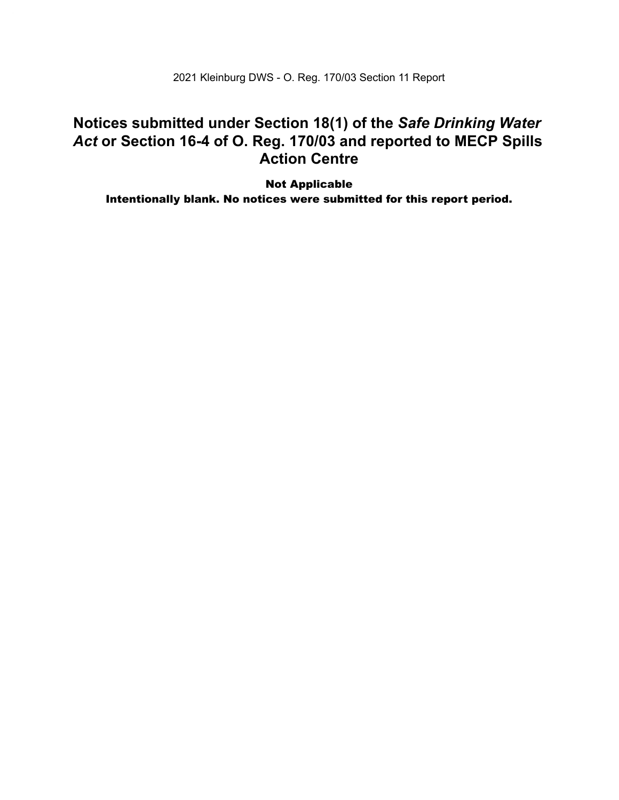2021 Kleinburg DWS - O. Reg. 170/03 Section 11 Report

### **Notices submitted under Section 18(1) of the** *Safe Drinking Water Act* **or Section 16-4 of O. Reg. 170/03 and reported to MECP Spills Action Centre**

Not Applicable Intentionally blank. No notices were submitted for this report period.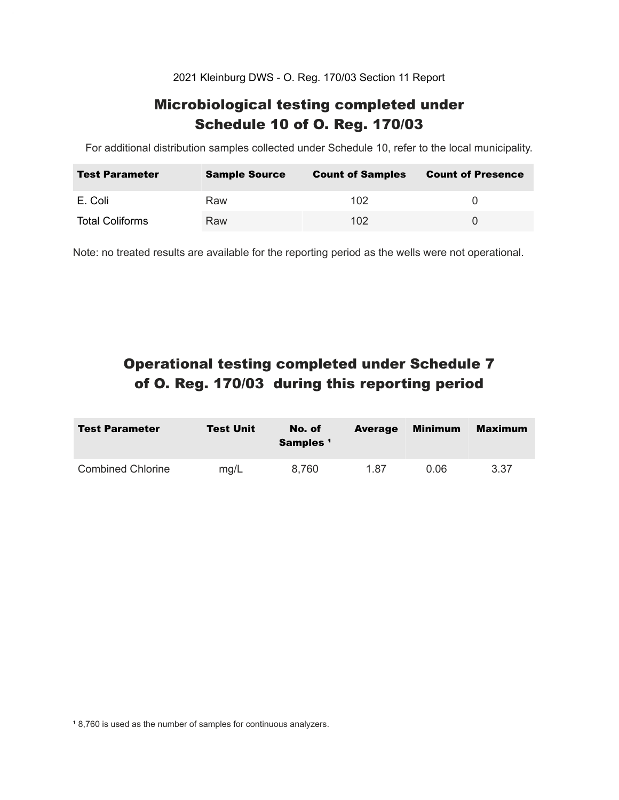2021 Kleinburg DWS - O. Reg. 170/03 Section 11 Report

### Microbiological testing completed under Schedule 10 of O. Reg. 170/03

For additional distribution samples collected under Schedule 10, refer to the local municipality.

| <b>Test Parameter</b>  | <b>Sample Source</b> | <b>Count of Samples</b> | <b>Count of Presence</b> |
|------------------------|----------------------|-------------------------|--------------------------|
| E. Coli                | Raw                  | 102                     |                          |
| <b>Total Coliforms</b> | Raw                  | 102 <sub>1</sub>        |                          |

Note: no treated results are available for the reporting period as the wells were not operational.

# Operational testing completed under Schedule 7 of O. Reg. 170/03 during this reporting period

| <b>Test Parameter</b>    | <b>Test Unit</b> | No. of<br>Samples <sup>1</sup> | <b>Average</b> | Minimum | <b>Maximum</b> |
|--------------------------|------------------|--------------------------------|----------------|---------|----------------|
| <b>Combined Chlorine</b> | ma/L             | 8.760                          | 1.87           | 0.06    | 3.37           |

<sup>1</sup> 8,760 is used as the number of samples for continuous analyzers.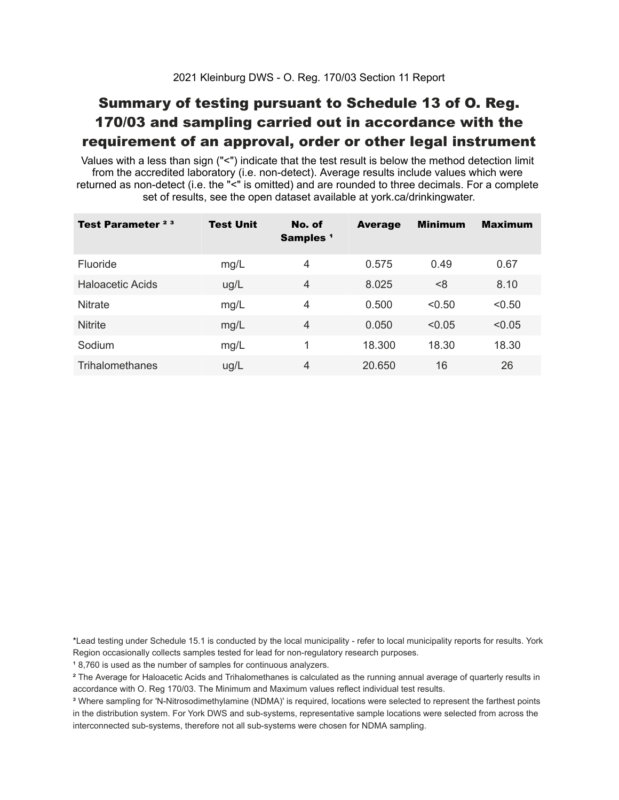## Summary of testing pursuant to Schedule 13 of O. Reg. 170/03 and sampling carried out in accordance with the requirement of an approval, order or other legal instrument

 Values with a less than sign ("<") indicate that the test result is below the method detection limit from the accredited laboratory (i.e. non-detect). Average results include values which were returned as non-detect (i.e. the "<" is omitted) and are rounded to three decimals. For a complete set of results, see the open dataset available at york.ca/drinkingwater.

| Test Parameter <sup>23</sup> | <b>Test Unit</b> | No. of<br>Samples <sup>1</sup> | <b>Average</b> | <b>Minimum</b> | <b>Maximum</b> |
|------------------------------|------------------|--------------------------------|----------------|----------------|----------------|
| <b>Fluoride</b>              | mg/L             | 4                              | 0.575          | 0.49           | 0.67           |
| Haloacetic Acids             | ug/L             | $\overline{4}$                 | 8.025          | < 8            | 8.10           |
| <b>Nitrate</b>               | mg/L             | 4                              | 0.500          | < 0.50         | < 0.50         |
| <b>Nitrite</b>               | mg/L             | 4                              | 0.050          | < 0.05         | < 0.05         |
| Sodium                       | mg/L             | 1                              | 18.300         | 18.30          | 18.30          |
| <b>Trihalomethanes</b>       | ug/L             | 4                              | 20.650         | 16             | 26             |

 \*Lead testing under Schedule 15.1 is conducted by the local municipality - refer to local municipality reports for results. York Region occasionally collects samples tested for lead for non-regulatory research purposes.

<sup>1</sup>8,760 is used as the number of samples for continuous analyzers.

 $\mathrm{^2}$  The Average for Haloacetic Acids and Trihalomethanes is calculated as the running annual average of quarterly results in accordance with O. Reg 170/03. The Minimum and Maximum values reflect individual test results.

<sup>3</sup> Where sampling for 'N-Nitrosodimethylamine (NDMA)' is required, locations were selected to represent the farthest points in the distribution system. For York DWS and sub-systems, representative sample locations were selected from across the interconnected sub-systems, therefore not all sub-systems were chosen for NDMA sampling.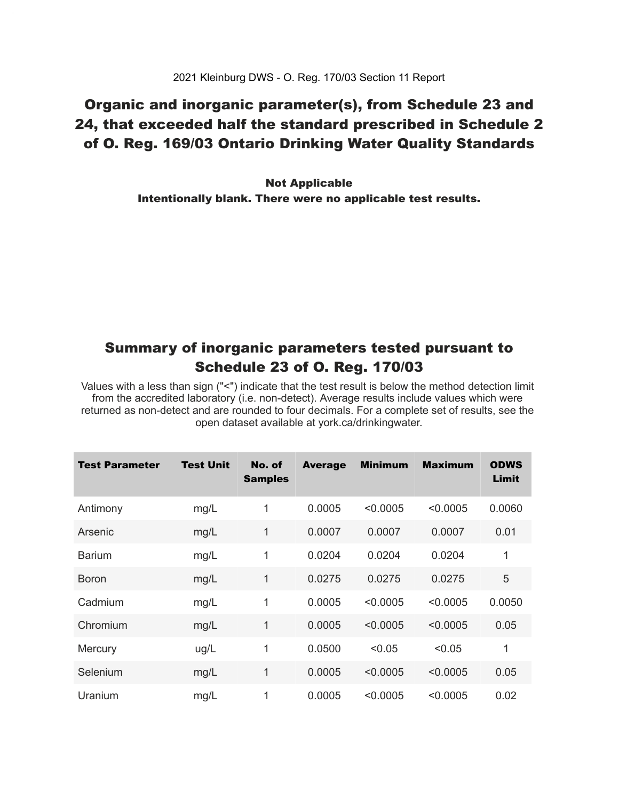## Organic and inorganic parameter(s), from Schedule 23 and 24, that exceeded half the standard prescribed in Schedule 2 of O. Reg. 169/03 Ontario Drinking Water Quality Standards

 Intentionally blank. There were no applicable test results. Not Applicable

### Summary of inorganic parameters tested pursuant to Schedule 23 of O. Reg. 170/03

 Values with a less than sign ("<") indicate that the test result is below the method detection limit from the accredited laboratory (i.e. non-detect). Average results include values which were returned as non-detect and are rounded to four decimals. For a complete set of results, see the open dataset available at york.ca/drinkingwater.

| <b>Test Parameter</b> | <b>Test Unit</b> | No. of<br><b>Samples</b> | <b>Average</b> | <b>Minimum</b> | <b>Maximum</b> | <b>ODWS</b><br>Limit |
|-----------------------|------------------|--------------------------|----------------|----------------|----------------|----------------------|
| Antimony              | mg/L             | 1                        | 0.0005         | < 0.0005       | < 0.0005       | 0.0060               |
| Arsenic               | mg/L             | 1                        | 0.0007         | 0.0007         | 0.0007         | 0.01                 |
| <b>Barium</b>         | mg/L             | 1                        | 0.0204         | 0.0204         | 0.0204         | 1                    |
| <b>Boron</b>          | mg/L             | 1                        | 0.0275         | 0.0275         | 0.0275         | 5                    |
| Cadmium               | mg/L             | 1                        | 0.0005         | < 0.0005       | < 0.0005       | 0.0050               |
| Chromium              | mg/L             | 1                        | 0.0005         | < 0.0005       | < 0.0005       | 0.05                 |
| Mercury               | ug/L             | 1                        | 0.0500         | < 0.05         | < 0.05         | 1                    |
| Selenium              | mg/L             | 1                        | 0.0005         | < 0.0005       | < 0.0005       | 0.05                 |
| Uranium               | mg/L             | 1                        | 0.0005         | < 0.0005       | < 0.0005       | 0.02                 |